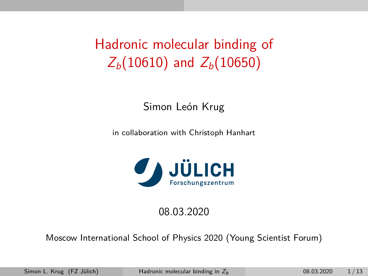# <span id="page-0-0"></span>Hadronic molecular binding of  $Z_b(10610)$  and  $Z_b(10650)$

Simon León Krug

in collaboration with Christoph Hanhart



#### 08.03.2020

Moscow International School of Physics 2020 (Young Scientist Forum)

Simon L. Krug (FZ Jülich) [Hadronic molecular binding in](#page-30-0)  $Z_b$  08.03.2020 1/13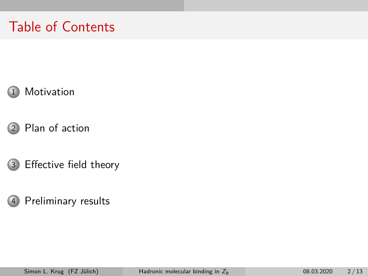## Table of Contents





[Effective field theory](#page-15-0)

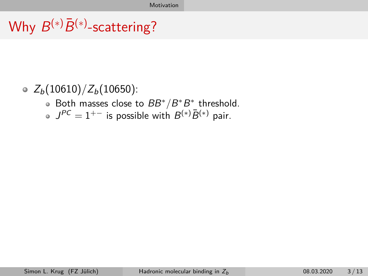#### <span id="page-2-0"></span> $\circ$  Z<sub>b</sub>(10610)/Z<sub>b</sub>(10650):

- Both masses close to  $BB^*/B^*B^*$  threshold.
- $J^{PC}=1^{+-}$  is possible with  $B^{(*)}\bar{B}^{(*)}$  pair.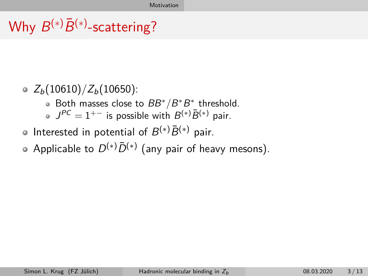#### $\circ$  Z<sub>b</sub>(10610)/Z<sub>b</sub>(10650):

- Both masses close to  $BB^*/B^*B^*$  threshold.
- $J^{PC}=1^{+-}$  is possible with  $B^{(*)}\bar{B}^{(*)}$  pair.
- Interested in potential of  $B^{(*)}\bar{B}^{(*)}$  pair.
- Applicable to  $D^{(*)}\bar{D}^{(*)}$  (any pair of heavy mesons).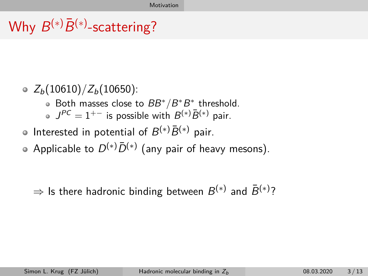- $\circ$  Z<sub>b</sub>(10610)/Z<sub>b</sub>(10650):
	- Both masses close to  $BB^*/B^*B^*$  threshold.
	- $J^{PC}=1^{+-}$  is possible with  $B^{(*)}\bar{B}^{(*)}$  pair.
- Interested in potential of  $B^{(*)}\bar{B}^{(*)}$  pair.
- Applicable to  $D^{(*)}\bar{D}^{(*)}$  (any pair of heavy mesons).

 $\Rightarrow$  Is there hadronic binding between  $B^{(*)}$  and  $\bar{B}^{(*)}$ ?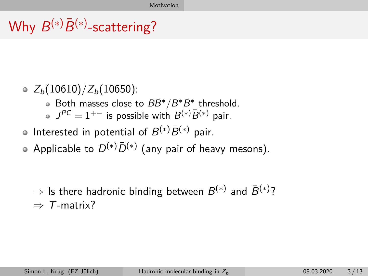- $\circ$  Z<sub>b</sub>(10610)/Z<sub>b</sub>(10650):
	- Both masses close to  $BB^*/B^*B^*$  threshold.
	- $J^{PC}=1^{+-}$  is possible with  $B^{(*)}\bar{B}^{(*)}$  pair.
- Interested in potential of  $B^{(*)}\bar{B}^{(*)}$  pair.
- Applicable to  $D^{(*)}\bar{D}^{(*)}$  (any pair of heavy mesons).

 $\Rightarrow$  Is there hadronic binding between  $B^{(*)}$  and  $\bar{B}^{(*)}$ ?  $\Rightarrow$  T-matrix?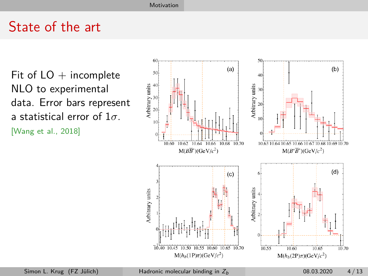#### State of the art

Fit of  $LO$  + incomplete NLO to experimental data. Error bars represent a statistical error of 1*σ*. [Wang et al., [2018\]](#page-30-1)

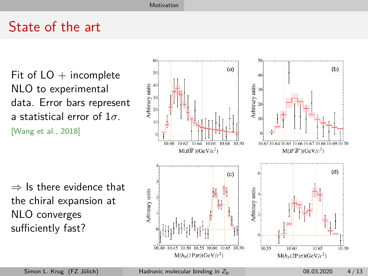#### State of the art

Fit of  $LO$  + incomplete NLO to experimental data. Error bars represent a statistical error of 1*σ*. [Wang et al., [2018\]](#page-30-1)

 $\Rightarrow$  Is there evidence that the chiral expansion at NLO converges sufficiently fast?

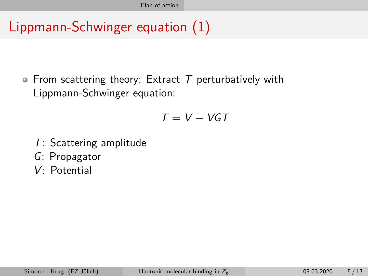## <span id="page-8-0"></span>Lippmann-Schwinger equation (1)

• From scattering theory: Extract  $T$  perturbatively with Lippmann-Schwinger equation:

$$
T=V-VGT
$$

- T: Scattering amplitude
- G: Propagator
- V: Potential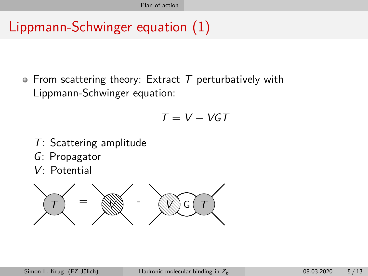# Lippmann-Schwinger equation (1)

• From scattering theory: Extract  $T$  perturbatively with Lippmann-Schwinger equation:

$$
T = V - VGT
$$

- T: Scattering amplitude
- G: Propagator
- V: Potential

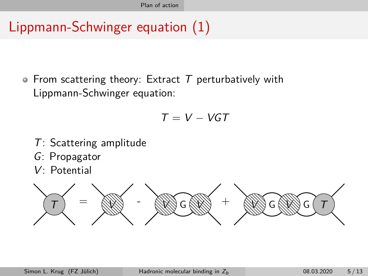## Lippmann-Schwinger equation (1)

• From scattering theory: Extract  $T$  perturbatively with Lippmann-Schwinger equation:

$$
T = V - VGT
$$

- T: Scattering amplitude
- G: Propagator
- V: Potential

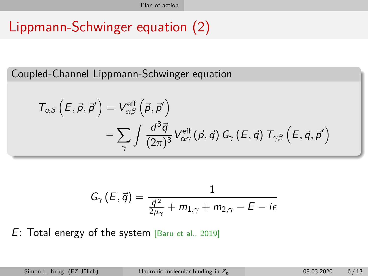## Lippmann-Schwinger equation (2)

Coupled-Channel Lippmann-Schwinger equation

$$
T_{\alpha\beta}\left(E,\vec{p},\vec{p}'\right) = V_{\alpha\beta}^{\text{eff}}\left(\vec{p},\vec{p}'\right) - \sum_{\gamma} \int \frac{d^3\vec{q}}{(2\pi)^3} V_{\alpha\gamma}^{\text{eff}}\left(\vec{p},\vec{q}\right) G_{\gamma}\left(E,\vec{q}\right) T_{\gamma\beta}\left(E,\vec{q},\vec{p}'\right)
$$

$$
\mathsf{G}_{\gamma}\left(\mathsf{E},\vec{\mathsf{q}}\right)=\frac{1}{\frac{\vec{\mathsf{q}}^{\,2}}{2\mu_{\gamma}}+m_{1,\gamma}+m_{2,\gamma}-\mathsf{E}-i\epsilon}
$$

 $E:$  Total energy of the system [Baru et al., [2019\]](#page-30-2)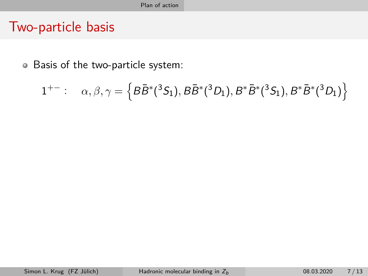#### Two-particle basis

Basis of the two-particle system:

$$
1^{+-}:\quad \alpha,\beta,\gamma=\left\{B\bar{B}^{*}(^{3}S_{1}),B\bar{B}^{*}(^{3}D_{1}),B^{*}\bar{B}^{*}(^{3}S_{1}),B^{*}\bar{B}^{*}(^{3}D_{1})\right\}
$$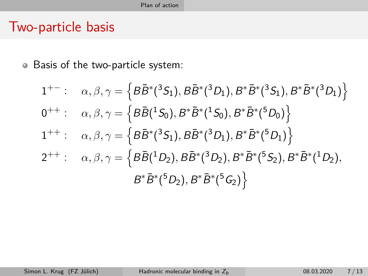#### Two-particle basis

Basis of the two-particle system:

1<sup>+-</sup>: 
$$
\alpha, \beta, \gamma = \left\{ B\bar{B}^*(^3S_1), B\bar{B}^*(^3D_1), B^*\bar{B}^*(^3S_1), B^*\bar{B}^*(^3D_1) \right\}
$$
  
\n0<sup>++</sup>:  $\alpha, \beta, \gamma = \left\{ B\bar{B}(^1S_0), B^*\bar{B}^*(^1S_0), B^*\bar{B}^*(^5D_0) \right\}$   
\n1<sup>++</sup>:  $\alpha, \beta, \gamma = \left\{ B\bar{B}^*(^3S_1), B\bar{B}^*(^3D_1), B^*\bar{B}^*(^5D_1) \right\}$   
\n2<sup>++</sup>:  $\alpha, \beta, \gamma = \left\{ B\bar{B}(^1D_2), B\bar{B}^*(^3D_2), B^*\bar{B}^*(^5S_2), B^*\bar{B}^*(^1D_2), B^*\bar{B}^*(^5D_2), B^*\bar{B}^*(^5G_2) \right\}$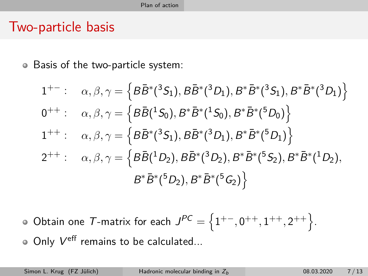#### Two-particle basis

Basis of the two-particle system:  $\bullet$ 

1<sup>+-</sup>: 
$$
\alpha, \beta, \gamma = \left\{ B\bar{B}^*(^3S_1), B\bar{B}^*(^3D_1), B^*\bar{B}^*(^3S_1), B^*\bar{B}^*(^3D_1) \right\}
$$
  
\n0<sup>++</sup>:  $\alpha, \beta, \gamma = \left\{ B\bar{B}(^1S_0), B^*\bar{B}^*(^1S_0), B^*\bar{B}^*(^5D_0) \right\}$   
\n1<sup>++</sup>:  $\alpha, \beta, \gamma = \left\{ B\bar{B}^*(^3S_1), B\bar{B}^*(^3D_1), B^*\bar{B}^*(^5D_1) \right\}$   
\n2<sup>++</sup>:  $\alpha, \beta, \gamma = \left\{ B\bar{B}(^1D_2), B\bar{B}^*(^3D_2), B^*\bar{B}^*(^5S_2), B^*\bar{B}^*(^1D_2), B^*\bar{B}^*(^5D_2), B^*\bar{B}^*(^5D_2) \right\}$ 

Obtain one T-matrix for each  $J^{PC} = \{1^{+-}, 0^{++}, 1^{++}, 2^{++}\}.$ Only  $V^{\text{eff}}$  remains to be calculated...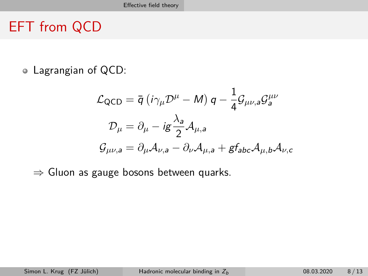## <span id="page-15-0"></span>EFT from QCD

Lagrangian of QCD:

$$
\mathcal{L}_{\text{QCD}} = \bar{q} \left( i \gamma_{\mu} \mathcal{D}^{\mu} - M \right) q - \frac{1}{4} \mathcal{G}_{\mu\nu,a} \mathcal{G}_{a}^{\mu\nu}
$$

$$
\mathcal{D}_{\mu} = \partial_{\mu} - i g \frac{\lambda_{a}}{2} \mathcal{A}_{\mu,a}
$$

$$
\mathcal{G}_{\mu\nu,a} = \partial_{\mu} \mathcal{A}_{\nu,a} - \partial_{\nu} \mathcal{A}_{\mu,a} + g f_{abc} \mathcal{A}_{\mu,b} \mathcal{A}_{\nu,c}
$$

 $\Rightarrow$  Gluon as gauge bosons between quarks.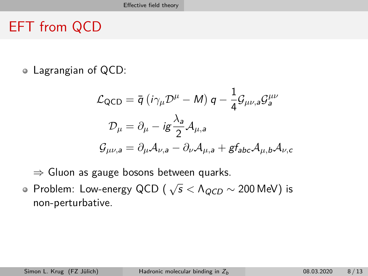## EFT from QCD

Lagrangian of QCD:

$$
\mathcal{L}_{\text{QCD}} = \bar{q} \left( i \gamma_{\mu} \mathcal{D}^{\mu} - M \right) q - \frac{1}{4} \mathcal{G}_{\mu\nu,a} \mathcal{G}_{a}^{\mu\nu}
$$

$$
\mathcal{D}_{\mu} = \partial_{\mu} - i \mathcal{g} \frac{\lambda_{a}}{2} \mathcal{A}_{\mu,a}
$$

$$
\mathcal{G}_{\mu\nu,a} = \partial_{\mu} \mathcal{A}_{\nu,a} - \partial_{\nu} \mathcal{A}_{\mu,a} + \mathcal{g} f_{abc} \mathcal{A}_{\mu,b} \mathcal{A}_{\nu,c}
$$

 $\Rightarrow$  Gluon as gauge bosons between quarks.

Problem: Low-energy QCD ( <sup>√</sup> s *<* ΛQCD ∼ 200 MeV) is non-perturbative.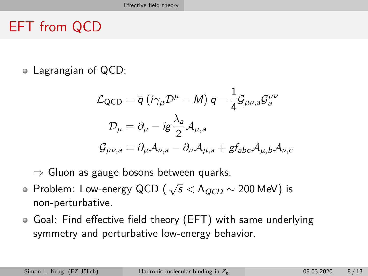## EFT from QCD

Lagrangian of QCD:

$$
\mathcal{L}_{\text{QCD}} = \bar{q} (i\gamma_{\mu} \mathcal{D}^{\mu} - M) q - \frac{1}{4} \mathcal{G}_{\mu\nu,a} \mathcal{G}_{a}^{\mu\nu}
$$

$$
\mathcal{D}_{\mu} = \partial_{\mu} - i \mathbf{g} \frac{\lambda_{a}}{2} \mathcal{A}_{\mu,a}
$$

$$
\mathcal{G}_{\mu\nu,a} = \partial_{\mu} \mathcal{A}_{\nu,a} - \partial_{\nu} \mathcal{A}_{\mu,a} + \mathbf{g} f_{abc} \mathcal{A}_{\mu,b} \mathcal{A}_{\nu,c}
$$

 $\Rightarrow$  Gluon as gauge bosons between quarks.

- Problem: Low-energy QCD ( <sup>√</sup> s *<* ΛQCD ∼ 200 MeV) is non-perturbative.
- Goal: Find effective field theory (EFT) with same underlying symmetry and perturbative low-energy behavior.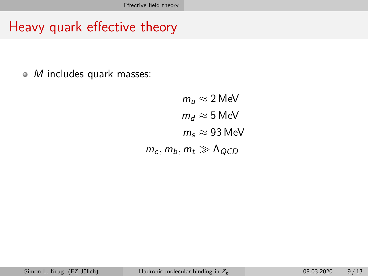### Heavy quark effective theory

M includes quark masses:  $\bullet$ 

> $m_{\mu} \approx 2$  MeV  $m_d \approx 5$  MeV  $m_s \approx 93$  MeV  $m_c, m_b, m_t \gg \Lambda_{QCD}$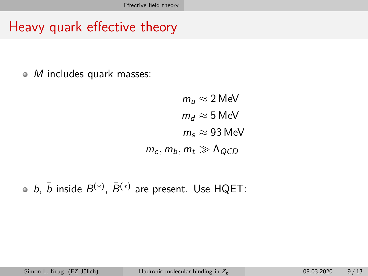### Heavy quark effective theory

M includes quark masses:  $\bullet$ 

> $m_{\mu} \approx 2$  MeV  $m_d \approx 5$  MeV  $m_s \approx 93$  MeV  $m_c, m_b, m_t \gg \Lambda_{QCD}$

*b*,  $\bar{b}$  inside  $B^{(*)}$ ,  $\bar{B}^{(*)}$  are present. Use HQET: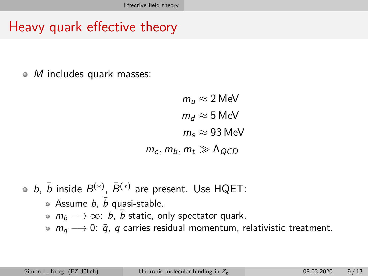## Heavy quark effective theory

M includes quark masses:  $\bullet$ 

> $m_{\mu} \approx 2$  MeV  $m_d \approx 5$  MeV  $m_s \approx 93$  MeV  $m_c$ ,  $m_b$ ,  $m_t \gg \Lambda_{QCD}$

*b*,  $\bar{b}$  inside  $B^{(*)}$ ,  $\bar{B}^{(*)}$  are present. Use HQET:

- Assume b,  $\overline{b}$  quasi-stable.
- $m_b \longrightarrow \infty$ : b, b static, only spectator quark.
- $m_q \rightarrow 0$ :  $\bar{q}$ , q carries residual momentum, relativistic treatment.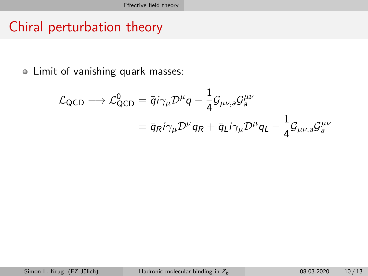#### Chiral perturbation theory

Limit of vanishing quark masses:

$$
\mathcal{L}_{\text{QCD}} \longrightarrow \mathcal{L}_{\text{QCD}}^0 = \overline{q} i \gamma_\mu \mathcal{D}^\mu q - \frac{1}{4} \mathcal{G}_{\mu\nu,a} \mathcal{G}_a^{\mu\nu}
$$

$$
= \overline{q}_{R} i \gamma_\mu \mathcal{D}^\mu q_R + \overline{q}_{L} i \gamma_\mu \mathcal{D}^\mu q_L - \frac{1}{4} \mathcal{G}_{\mu\nu,a} \mathcal{G}_a^{\mu\nu}
$$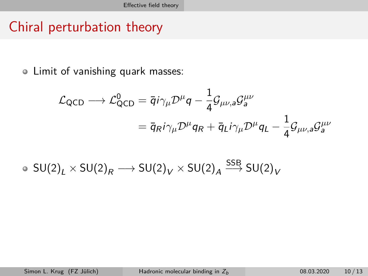#### Chiral perturbation theory

Limit of vanishing quark masses:

$$
\mathcal{L}_{\text{QCD}} \longrightarrow \mathcal{L}_{\text{QCD}}^0 = \overline{q} i \gamma_\mu \mathcal{D}^\mu q - \frac{1}{4} \mathcal{G}_{\mu\nu,a} \mathcal{G}_a^{\mu\nu}
$$

$$
= \overline{q}_{R} i \gamma_\mu \mathcal{D}^\mu q_R + \overline{q}_{L} i \gamma_\mu \mathcal{D}^\mu q_L - \frac{1}{4} \mathcal{G}_{\mu\nu,a} \mathcal{G}_a^{\mu\nu}
$$

$$
\bullet \,\, \mathsf{SU(2)}_L \times \mathsf{SU(2)}_R \longrightarrow \mathsf{SU(2)}_V \times \mathsf{SU(2)}_A \stackrel{\mathsf{SSB}}{\longrightarrow} \mathsf{SU(2)}_V
$$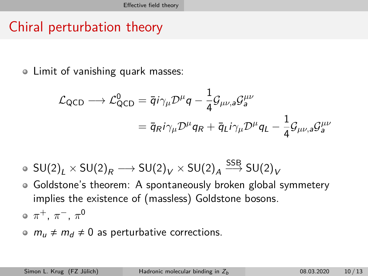#### Chiral perturbation theory

Limit of vanishing quark masses:

$$
\mathcal{L}_{\text{QCD}} \longrightarrow \mathcal{L}_{\text{QCD}}^0 = \overline{q} i \gamma_\mu \mathcal{D}^\mu q - \frac{1}{4} \mathcal{G}_{\mu\nu,a} \mathcal{G}_a^{\mu\nu}
$$

$$
= \overline{q}_{R} i \gamma_\mu \mathcal{D}^\mu q_R + \overline{q}_{L} i \gamma_\mu \mathcal{D}^\mu q_L - \frac{1}{4} \mathcal{G}_{\mu\nu,a} \mathcal{G}_a^{\mu\nu}
$$

- ${\sf SU(2)}_L \times {\sf SU(2)}_R \longrightarrow {\sf SU(2)}_V \times {\sf SU(2)}_A \stackrel{\sf SSB}{\longrightarrow} {\sf SU(2)}_V$
- Goldstone's theorem: A spontaneously broken global symmetery implies the existence of (massless) Goldstone bosons.

*π* <sup>+</sup>, *π* <sup>−</sup>, *π* 0

 $m_{\mu} \neq m_d \neq 0$  as perturbative corrections.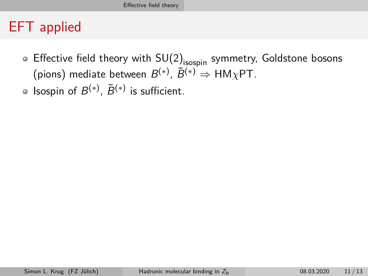#### EFT applied

- Effective field theory with  $SU(2)_{\text{isospin}}$  symmetry, Goldstone bosons (pions) mediate between  $B^{(*)}$ ,  $\bar{B}^{(*)} \Rightarrow \mathsf{HM}_{\chi}\mathsf{PT}.$
- Isospin of  $B^{(*)}$ ,  $\bar{B}^{(*)}$  is sufficient.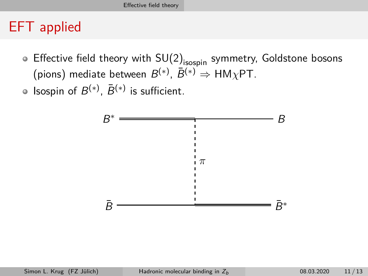#### EFT applied

- Effective field theory with  $SU(2)_{\text{isospin}}$  symmetry, Goldstone bosons (pions) mediate between  $B^{(*)}$ ,  $\bar{B}^{(*)} \Rightarrow \mathsf{HM}_{\chi}\mathsf{PT}.$
- Isospin of  $B^{(*)}$ ,  $\bar{B}^{(*)}$  is sufficient.

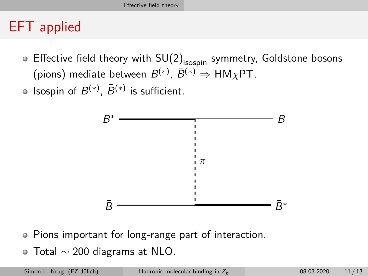## EFT applied

- **Effective field theory with SU(2)** isospin symmetry, Goldstone bosons (pions) mediate between  $B^{(*)}$ ,  $\bar{B}^{(*)} \Rightarrow \mathsf{HM}_{\chi}\mathsf{PT}.$
- Isospin of  $B^{(*)}$ ,  $\bar{B}^{(*)}$  is sufficient.



- Pions important for long-range part of interaction.
- $\bullet$  Total  $\sim$  200 diagrams at NLO.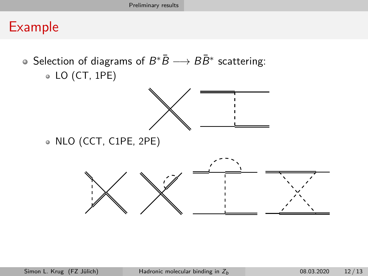#### <span id="page-27-0"></span>Example

- Selection of diagrams of  $B^*\bar{B} \longrightarrow B\bar{B}^*$  scattering:
	- LO (CT, 1PE)



NLO (CCT, C1PE, 2PE)

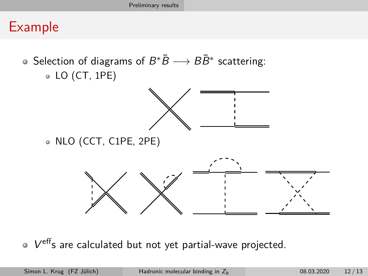#### Example

- Selection of diagrams of  $B^*\bar{B} \longrightarrow B\bar{B}^*$  scattering:
	- LO (CT, 1PE)



NLO (CCT, C1PE, 2PE)



V effs are calculated but not yet partial-wave projected.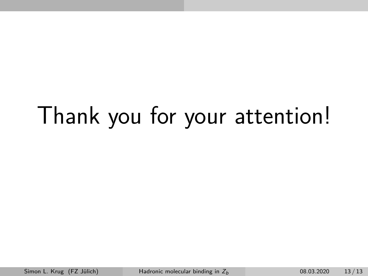# Thank you for your attention!